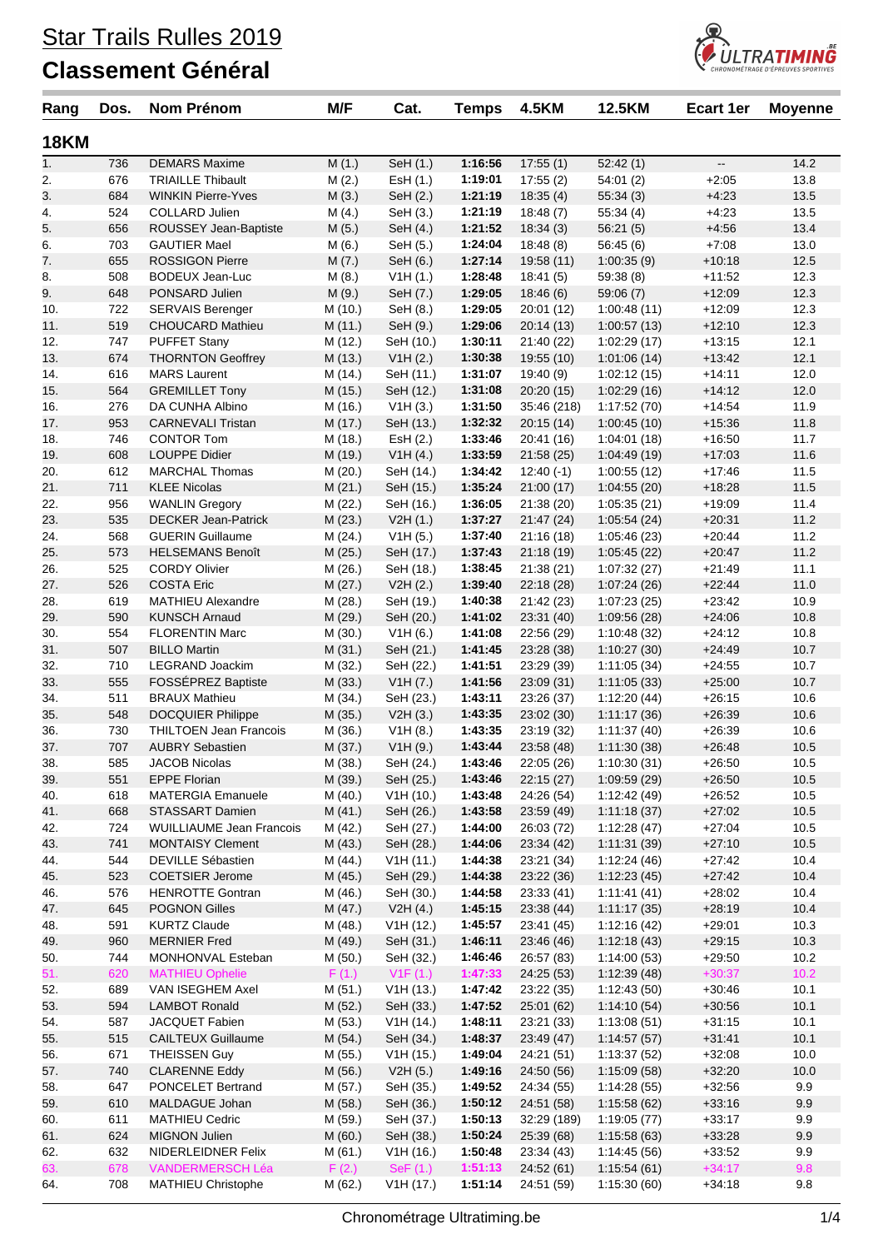

| Rang        | Dos.       | <b>Nom Prénom</b>                             | M/F                | Cat.                  | <b>Temps</b>       | <b>4.5KM</b>             | 12.5KM                     | Ecart 1er                | <b>Moyenne</b> |
|-------------|------------|-----------------------------------------------|--------------------|-----------------------|--------------------|--------------------------|----------------------------|--------------------------|----------------|
| <b>18KM</b> |            |                                               |                    |                       |                    |                          |                            |                          |                |
| 1.          | 736        | <b>DEMARS Maxime</b>                          | M(1.)              | SeH (1.)              | 1:16:56            | 17:55(1)                 | 52:42(1)                   | $\overline{\phantom{a}}$ | 14.2           |
| 2.          | 676        | <b>TRIAILLE Thibault</b>                      | M(2.)              | ESH(1.)               | 1:19:01            | 17:55(2)                 | 54:01(2)                   | $+2:05$                  | 13.8           |
| 3.          | 684        | <b>WINKIN Pierre-Yves</b>                     | M(3.)              | SeH (2.)              | 1:21:19            | 18:35(4)                 | 55:34(3)                   | $+4:23$                  | 13.5           |
| 4.          | 524        | <b>COLLARD Julien</b>                         | M(4.)              | SeH (3.)              | 1:21:19            | 18:48(7)                 | 55:34(4)                   | $+4:23$                  | 13.5           |
| 5.          | 656        | ROUSSEY Jean-Baptiste                         | M(5.)              | SeH (4.)              | 1:21:52            | 18:34(3)                 | 56:21(5)                   | $+4:56$                  | 13.4           |
| 6.<br>7.    | 703<br>655 | <b>GAUTIER Mael</b><br><b>ROSSIGON Pierre</b> | M(6.)              | SeH (5.)<br>SeH (6.)  | 1:24:04<br>1:27:14 | 18:48(8)                 | 56:45(6)<br>1:00:35(9)     | $+7:08$<br>$+10:18$      | 13.0<br>12.5   |
| 8.          | 508        | <b>BODEUX Jean-Luc</b>                        | M(7.)<br>M(8.)     | V1H(1.)               | 1:28:48            | 19:58 (11)<br>18:41(5)   | 59:38 (8)                  | $+11:52$                 | 12.3           |
| 9.          | 648        | PONSARD Julien                                | M(9.)              | SeH (7.)              | 1:29:05            | 18:46(6)                 | 59:06(7)                   | $+12:09$                 | 12.3           |
| 10.         | 722        | <b>SERVAIS Berenger</b>                       | M (10.)            | SeH (8.)              | 1:29:05            | 20:01(12)                | 1:00:48(11)                | $+12:09$                 | 12.3           |
| 11.         | 519        | <b>CHOUCARD Mathieu</b>                       | M (11.)            | SeH (9.)              | 1:29:06            | 20:14(13)                | 1:00:57(13)                | $+12:10$                 | 12.3           |
| 12.         | 747        | <b>PUFFET Stany</b>                           | M (12.)            | SeH (10.)             | 1:30:11            | 21:40 (22)               | 1:02:29(17)                | $+13:15$                 | 12.1           |
| 13.         | 674        | <b>THORNTON Geoffrey</b>                      | M (13.)            | V1H(2.)               | 1:30:38            | 19:55 (10)               | 1:01:06(14)                | $+13:42$                 | 12.1           |
| 14.         | 616        | <b>MARS Laurent</b>                           | M (14.)            | SeH (11.)             | 1:31:07            | 19:40 (9)                | 1:02:12(15)                | $+14.11$                 | 12.0           |
| 15.         | 564        | <b>GREMILLET Tony</b>                         | M (15.)            | SeH (12.)             | 1:31:08            | 20:20(15)                | 1:02:29(16)                | $+14:12$                 | 12.0           |
| 16.         | 276        | DA CUNHA Albino                               | M (16.)            | V1H(3.)               | 1:31:50            | 35:46 (218)              | 1:17:52(70)                | $+14:54$                 | 11.9           |
| 17.         | 953        | <b>CARNEVALI Tristan</b>                      | M (17.)            | SeH (13.)             | 1:32:32            | 20:15(14)                | 1:00:45(10)                | $+15:36$                 | 11.8           |
| 18.         | 746        | <b>CONTOR Tom</b>                             | M (18.)            | EsH (2.)              | 1:33:46            | 20:41 (16)               | 1:04:01(18)                | $+16:50$                 | 11.7           |
| 19.         | 608        | <b>LOUPPE Didier</b>                          | M (19.)            | V1H(4.)               | 1:33:59            | 21:58(25)                | 1:04:49(19)                | $+17:03$                 | 11.6           |
| 20.         | 612        | <b>MARCHAL Thomas</b>                         | M(20.)             | SeH (14.)             | 1:34:42            | 12:40 (-1)               | 1:00:55(12)                | $+17:46$                 | 11.5           |
| 21.         | 711        | <b>KLEE Nicolas</b>                           | M(21.)             | SeH (15.)             | 1:35:24            | 21:00(17)                | 1:04:55(20)                | $+18:28$                 | 11.5           |
| 22.         | 956        | <b>WANLIN Gregory</b>                         | M (22.)            | SeH (16.)             | 1:36:05            | 21:38 (20)               | 1:05:35(21)                | $+19:09$                 | 11.4           |
| 23.         | 535        | <b>DECKER Jean-Patrick</b>                    | M(23.)             | V2H(1.)               | 1:37:27            | 21:47(24)                | 1:05:54(24)                | $+20.31$                 | 11.2           |
| 24.         | 568        | <b>GUERIN Guillaume</b>                       | M (24.)            | V1H (5.)              | 1:37:40            | 21:16(18)                | 1:05:46(23)                | $+20:44$                 | 11.2           |
| 25.         | 573        | <b>HELSEMANS Benoît</b>                       | M(25.)             | SeH (17.)             | 1:37:43            | 21:18(19)                | 1:05:45(22)<br>1:07:32(27) | $+20:47$                 | 11.2           |
| 26.<br>27.  | 525<br>526 | <b>CORDY Olivier</b><br><b>COSTA Eric</b>     | M (26.)<br>M(27.)  | SeH (18.)<br>V2H (2.) | 1:38:45<br>1:39:40 | 21:38(21)<br>22:18 (28)  | 1:07:24(26)                | $+21:49$<br>$+22:44$     | 11.1<br>11.0   |
| 28.         | 619        | <b>MATHIEU Alexandre</b>                      | M (28.)            | SeH (19.)             | 1:40:38            | 21:42 (23)               | 1:07:23(25)                | $+23:42$                 | 10.9           |
| 29.         | 590        | <b>KUNSCH Arnaud</b>                          | M (29.)            | SeH (20.)             | 1:41:02            | 23:31 (40)               | 1:09:56 (28)               | $+24:06$                 | 10.8           |
| 30.         | 554        | <b>FLORENTIN Marc</b>                         | M (30.)            | V1H (6.)              | 1:41:08            | 22:56 (29)               | 1:10:48(32)                | $+24:12$                 | 10.8           |
| 31.         | 507        | <b>BILLO Martin</b>                           | M(31.)             | SeH (21.)             | 1:41:45            | 23:28 (38)               | 1:10:27(30)                | $+24:49$                 | 10.7           |
| 32.         | 710        | LEGRAND Joackim                               | M (32.)            | SeH (22.)             | 1:41:51            | 23:29 (39)               | 1:11:05(34)                | $+24:55$                 | 10.7           |
| 33.         | 555        | FOSSÉPREZ Baptiste                            | M (33.)            | V1H (7.)              | 1:41:56            | 23:09(31)                | 1:11:05(33)                | $+25:00$                 | 10.7           |
| 34.         | 511        | <b>BRAUX Mathieu</b>                          | M (34.)            | SeH (23.)             | 1:43:11            | 23:26 (37)               | 1:12:20(44)                | $+26:15$                 | 10.6           |
| 35.         | 548        | <b>DOCQUIER Philippe</b>                      | M(35.)             | V2H(3.)               | 1:43:35            | 23:02 (30)               | 1:11:17(36)                | $+26:39$                 | 10.6           |
| 36.         | 730        | <b>THILTOEN Jean Francois</b>                 | M (36.)            | V1H(8.)               | 1:43:35            | 23:19 (32)               | 1:11:37(40)                | $+26:39$                 | 10.6           |
| 37.         | 707        | <b>AUBRY Sebastien</b>                        | M (37.)            | V1H(9.)               | 1:43:44            | 23:58 (48)               | 1:11:30(38)                | $+26:48$                 | 10.5           |
| 38.         | 585        | <b>JACOB Nicolas</b>                          | M (38.)            | SeH (24.)             | 1:43:46            | 22:05 (26)               | 1:10:30(31)                | $+26:50$                 | 10.5           |
| 39.         | 551        | <b>EPPE Florian</b>                           | M (39.)            | SeH (25.)             | 1:43:46            | 22:15(27)                | 1:09:59(29)                | $+26:50$                 | 10.5           |
| 40.         | 618        | <b>MATERGIA Emanuele</b>                      | M (40.)            | V1H(10.)              | 1:43:48            | 24:26 (54)               | 1:12:42(49)                | $+26:52$                 | 10.5           |
| 41.         | 668        | <b>STASSART Damien</b>                        | M(41.)             | SeH (26.)             | 1:43:58            | 23:59 (49)               | 1:11:18(37)                | $+27:02$                 | 10.5           |
| 42.         | 724        | <b>WUILLIAUME Jean Francois</b>               | M (42.)            | SeH (27.)             | 1:44:00            | 26:03 (72)               | 1:12:28(47)                | $+27:04$                 | 10.5           |
| 43.         | 741        | <b>MONTAISY Clement</b>                       | M(43.)             | SeH (28.)             | 1:44:06            | 23:34 (42)               | 1:11:31(39)                | $+27:10$                 | 10.5           |
| 44.<br>45.  | 544<br>523 | DEVILLE Sébastien<br><b>COETSIER Jerome</b>   | M (44.)<br>M (45.) | V1H(11.)<br>SeH (29.) | 1:44:38<br>1:44:38 | 23:21 (34)<br>23:22 (36) | 1:12:24(46)<br>1:12:23(45) | $+27:42$<br>$+27:42$     | 10.4<br>10.4   |
| 46.         | 576        | <b>HENROTTE Gontran</b>                       | M (46.)            | SeH (30.)             | 1:44:58            | 23:33(41)                | 1:11:41(41)                | $+28:02$                 | 10.4           |
| 47.         | 645        | POGNON Gilles                                 | M (47.)            | V2H(4.)               | 1:45:15            | 23:38 (44)               | 1:11:17(35)                | $+28:19$                 | 10.4           |
| 48.         | 591        | <b>KURTZ Claude</b>                           | M (48.)            | V1H(12.)              | 1:45:57            | 23:41 (45)               | 1:12:16(42)                | $+29:01$                 | 10.3           |
| 49.         | 960        | <b>MERNIER Fred</b>                           | M (49.)            | SeH (31.)             | 1:46:11            | 23:46(46)                | 1:12:18(43)                | $+29:15$                 | 10.3           |
| 50.         | 744        | MONHONVAL Esteban                             | M (50.)            | SeH (32.)             | 1:46:46            | 26:57 (83)               | 1:14:00(53)                | $+29:50$                 | 10.2           |
| 51.         | 620        | <b>MATHIEU Ophelie</b>                        | F(1.)              | V1F(1.)               | 1:47:33            | 24:25 (53)               | 1:12:39(48)                | $+30:37$                 | 10.2           |
| 52.         | 689        | VAN ISEGHEM Axel                              | M (51.)            | V1H(13.)              | 1:47:42            | 23:22 (35)               | 1:12:43(50)                | $+30:46$                 | 10.1           |
| 53.         | 594        | <b>LAMBOT Ronald</b>                          | M(52.)             | SeH (33.)             | 1:47:52            | 25:01 (62)               | 1:14:10(54)                | $+30:56$                 | 10.1           |
| 54.         | 587        | JACQUET Fabien                                | M (53.)            | V1H(14.)              | 1:48:11            | 23:21 (33)               | 1:13:08(51)                | $+31:15$                 | 10.1           |
| 55.         | 515        | <b>CAILTEUX Guillaume</b>                     | M(54.)             | SeH (34.)             | 1:48:37            | 23:49 (47)               | 1:14:57(57)                | $+31:41$                 | 10.1           |
| 56.         | 671        | <b>THEISSEN Guy</b>                           | M (55.)            | V1H(15.)              | 1:49:04            | 24:21 (51)               | 1:13:37(52)                | $+32:08$                 | 10.0           |
| 57.         | 740        | <b>CLARENNE Eddy</b>                          | M (56.)            | V2H(5.)               | 1:49:16            | 24:50 (56)               | 1:15:09(58)                | $+32:20$                 | 10.0           |
| 58.         | 647        | PONCELET Bertrand                             | M (57.)            | SeH (35.)             | 1:49:52            | 24:34 (55)               | 1:14:28(55)                | $+32:56$                 | 9.9            |
| 59.         | 610        | MALDAGUE Johan                                | M (58.)            | SeH (36.)             | 1:50:12            | 24:51 (58)               | 1:15:58(62)                | $+33:16$                 | 9.9            |
| 60.         | 611        | <b>MATHIEU Cedric</b>                         | M (59.)            | SeH (37.)             | 1:50:13            | 32:29 (189)              | 1:19:05(77)                | $+33:17$                 | 9.9            |
| 61.         | 624        | MIGNON Julien                                 | M(60.)             | SeH (38.)             | 1:50:24            | 25:39 (68)               | 1:15:58(63)                | $+33:28$                 | 9.9            |
| 62.         | 632        | NIDERLEIDNER Felix                            | M(61.)             | V1H (16.)             | 1:50:48            | 23:34(43)                | 1:14:45(56)                | $+33:52$                 | 9.9            |
| 63.         | 678        | <b>VANDERMERSCH Léa</b>                       | F(2.)              | SeF(1.)               | 1:51:13            | 24:52 (61)               | 1:15:54(61)                | $+34:17$                 | 9.8            |
| 64.         | 708        | MATHIEU Christophe                            | M (62.)            | V1H (17.)             | 1:51:14            | 24:51 (59)               | 1:15:30(60)                | $+34:18$                 | 9.8            |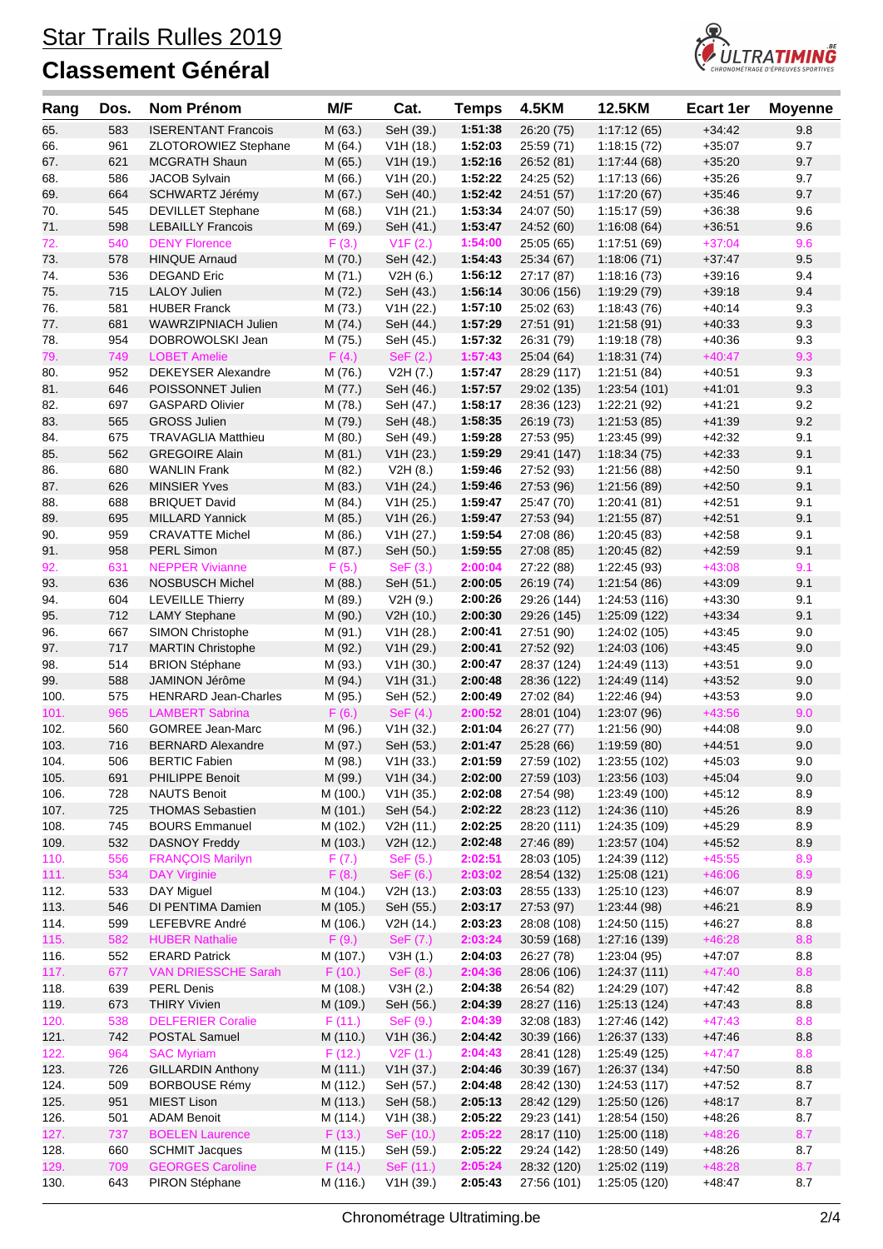

| Rang         | Dos.       | Nom Prénom                                           | M/F                  | Cat.                   | <b>Temps</b>       | <b>4.5KM</b>               | 12.5KM                        | <b>Ecart 1er</b>     | <b>Moyenne</b> |
|--------------|------------|------------------------------------------------------|----------------------|------------------------|--------------------|----------------------------|-------------------------------|----------------------|----------------|
| 65.          | 583        | <b>ISERENTANT Francois</b>                           | M (63.)              | SeH (39.)              | 1:51:38            | 26:20 (75)                 | 1:17:12(65)                   | $+34:42$             | 9.8            |
| 66.          | 961        | ZLOTOROWIEZ Stephane                                 | M (64.)              | V1H(18.)               | 1:52:03            | 25:59 (71)                 | 1:18:15(72)                   | $+35:07$             | 9.7            |
| 67.          | 621        | <b>MCGRATH Shaun</b>                                 | M (65.)              | V1H(19.)               | 1:52:16            | 26:52 (81)                 | 1:17:44(68)                   | $+35:20$             | 9.7            |
| 68.          | 586        | JACOB Sylvain                                        | M (66.)              | V1H (20.)              | 1:52:22            | 24:25 (52)                 | 1:17:13(66)                   | $+35:26$             | 9.7            |
| 69.          | 664        | SCHWARTZ Jérémy                                      | M (67.)              | SeH (40.)              | 1:52:42            | 24:51 (57)                 | 1:17:20(67)                   | $+35:46$             | 9.7            |
| 70.<br>71.   | 545<br>598 | <b>DEVILLET Stephane</b><br><b>LEBAILLY Francois</b> | M(68.)<br>M (69.)    | V1H (21.)<br>SeH (41.) | 1:53:34<br>1:53:47 | 24:07 (50)<br>24:52 (60)   | 1:15:17 (59)<br>1:16:08(64)   | $+36:38$<br>$+36:51$ | 9.6<br>9.6     |
| 72.          | 540        | <b>DENY Florence</b>                                 | F(3.)                | V1F(2.)                | 1:54:00            | 25:05 (65)                 | 1:17:51(69)                   | $+37:04$             | 9.6            |
| 73.          | 578        | <b>HINQUE Arnaud</b>                                 | M (70.)              | SeH (42.)              | 1:54:43            | 25:34 (67)                 | 1:18:06(71)                   | $+37:47$             | 9.5            |
| 74.          | 536        | <b>DEGAND Eric</b>                                   | M (71.)              | V2H(6.)                | 1:56:12            | 27:17 (87)                 | 1:18:16(73)                   | $+39:16$             | 9.4            |
| 75.          | 715        | <b>LALOY Julien</b>                                  | M (72.)              | SeH (43.)              | 1:56:14            | 30:06 (156)                | 1:19:29 (79)                  | $+39:18$             | 9.4            |
| 76.          | 581        | <b>HUBER Franck</b>                                  | M (73.)              | V1H (22.)              | 1:57:10            | 25:02 (63)                 | 1:18:43(76)                   | $+40:14$             | 9.3            |
| 77.          | 681        | WAWRZIPNIACH Julien                                  | M (74.)              | SeH (44.)              | 1:57:29            | 27:51 (91)                 | 1:21:58(91)                   | $+40:33$             | 9.3            |
| 78.          | 954        | DOBROWOLSKI Jean                                     | M (75.)              | SeH (45.)              | 1:57:32            | 26:31 (79)                 | 1:19:18(78)                   | $+40:36$             | 9.3            |
| 79.          | 749        | <b>LOBET Amelie</b>                                  | F(4.)                | SeF(2.)                | 1:57:43            | 25:04(64)                  | 1:18:31(74)                   | $+40:47$             | 9.3            |
| 80.          | 952        | <b>DEKEYSER Alexandre</b><br>POISSONNET Julien       | M (76.)              | V2H (7.)               | 1:57:47            | 28:29 (117)                | 1:21:51(84)                   | $+40:51$             | 9.3            |
| 81.<br>82.   | 646<br>697 | <b>GASPARD Olivier</b>                               | M (77.)<br>M (78.)   | SeH (46.)<br>SeH (47.) | 1:57:57<br>1:58:17 | 29:02 (135)<br>28:36 (123) | 1:23:54 (101)<br>1:22:21 (92) | $+41:01$<br>$+41:21$ | 9.3<br>9.2     |
| 83.          | 565        | <b>GROSS Julien</b>                                  | M (79.)              | SeH (48.)              | 1:58:35            | 26:19 (73)                 | 1:21:53(85)                   | $+41:39$             | 9.2            |
| 84.          | 675        | <b>TRAVAGLIA Matthieu</b>                            | M(80.)               | SeH (49.)              | 1:59:28            | 27:53 (95)                 | 1:23:45 (99)                  | $+42:32$             | 9.1            |
| 85.          | 562        | <b>GREGOIRE Alain</b>                                | M(81.)               | V1H (23.)              | 1:59:29            | 29:41 (147)                | 1:18:34(75)                   | $+42:33$             | 9.1            |
| 86.          | 680        | <b>WANLIN Frank</b>                                  | M (82.)              | V2H(8.)                | 1:59:46            | 27:52 (93)                 | 1:21:56(88)                   | $+42:50$             | 9.1            |
| 87.          | 626        | <b>MINSIER Yves</b>                                  | M (83.)              | V1H (24.)              | 1:59:46            | 27:53 (96)                 | 1:21:56 (89)                  | $+42:50$             | 9.1            |
| 88.          | 688        | <b>BRIQUET David</b>                                 | M (84.)              | V1H (25.)              | 1:59:47            | 25:47 (70)                 | 1:20:41(81)                   | $+42:51$             | 9.1            |
| 89.          | 695        | <b>MILLARD Yannick</b>                               | M (85.)              | V1H (26.)              | 1:59:47            | 27:53 (94)                 | 1:21:55(87)                   | $+42:51$             | 9.1            |
| 90.          | 959        | <b>CRAVATTE Michel</b>                               | M (86.)              | V1H (27.)              | 1:59:54            | 27:08 (86)                 | 1:20:45 (83)                  | $+42:58$             | 9.1            |
| 91.          | 958        | <b>PERL Simon</b><br><b>NEPPER Vivianne</b>          | M (87.)              | SeH (50.)              | 1:59:55            | 27:08 (85)                 | 1:20:45(82)                   | $+42:59$             | 9.1<br>9.1     |
| 92.<br>93.   | 631<br>636 | <b>NOSBUSCH Michel</b>                               | F(5.)<br>M(88.)      | SeF(3.)<br>SeH (51.)   | 2:00:04<br>2:00:05 | 27:22 (88)<br>26:19 (74)   | 1:22:45 (93)<br>1:21:54(86)   | $+43:08$<br>$+43:09$ | 9.1            |
| 94.          | 604        | <b>LEVEILLE Thierry</b>                              | M (89.)              | V2H (9.)               | 2:00:26            | 29:26 (144)                | 1:24:53 (116)                 | $+43:30$             | 9.1            |
| 95.          | 712        | <b>LAMY Stephane</b>                                 | M (90.)              | V2H (10.)              | 2:00:30            | 29:26 (145)                | 1:25:09 (122)                 | $+43:34$             | 9.1            |
| 96.          | 667        | <b>SIMON Christophe</b>                              | M (91.)              | V1H (28.)              | 2:00:41            | 27:51 (90)                 | 1:24:02 (105)                 | $+43:45$             | 9.0            |
| 97.          | 717        | <b>MARTIN Christophe</b>                             | M (92.)              | V1H (29.)              | 2:00:41            | 27:52 (92)                 | 1:24:03 (106)                 | $+43:45$             | 9.0            |
| 98.          | 514        | <b>BRION Stéphane</b>                                | M (93.)              | V1H (30.)              | 2:00:47            | 28:37 (124)                | 1:24:49 (113)                 | $+43:51$             | 9.0            |
| 99.          | 588        | JAMINON Jérôme                                       | M (94.)              | V1H (31.)              | 2:00:48            | 28:36 (122)                | 1:24:49(114)                  | $+43:52$             | 9.0            |
| 100.         | 575        | <b>HENRARD Jean-Charles</b>                          | M (95.)              | SeH (52.)              | 2:00:49            | 27:02 (84)                 | 1:22:46 (94)                  | $+43:53$             | 9.0            |
| 101.         | 965        | <b>LAMBERT Sabrina</b>                               | F(6.)                | SeF(4.)                | 2:00:52            | 28:01 (104)                | 1:23:07(96)                   | $+43:56$             | 9.0            |
| 102.<br>103. | 560<br>716 | <b>GOMREE Jean-Marc</b><br><b>BERNARD Alexandre</b>  | M (96.)<br>M (97.)   | V1H (32.)<br>SeH (53.) | 2:01:04<br>2:01:47 | 26:27 (77)<br>25:28 (66)   | 1:21:56 (90)<br>1:19:59 (80)  | $+44:08$<br>$+44:51$ | 9.0<br>9.0     |
| 104.         | 506        | <b>BERTIC Fabien</b>                                 | M (98.)              | V1H (33.)              | 2:01:59            | 27:59 (102)                | 1:23:55 (102)                 | $+45:03$             | 9.0            |
| 105.         | 691        | PHILIPPE Benoit                                      | M (99.)              | V1H (34.)              | 2:02:00            | 27:59 (103)                | 1:23:56 (103)                 | $+45:04$             | 9.0            |
| 106.         | 728        | <b>NAUTS Benoit</b>                                  | M (100.)             | V1H (35.)              | 2:02:08            | 27:54 (98)                 | 1:23:49 (100)                 | $+45:12$             | 8.9            |
| 107.         | 725        | <b>THOMAS Sebastien</b>                              | M (101.)             | SeH (54.)              | 2:02:22            | 28:23 (112)                | 1:24:36 (110)                 | $+45:26$             | $8.9\,$        |
| 108.         | 745        | <b>BOURS Emmanuel</b>                                | M (102.)             | V2H (11.)              | 2:02:25            | 28:20 (111)                | 1:24:35 (109)                 | $+45.29$             | 8.9            |
| 109.         | 532        | <b>DASNOY Freddy</b>                                 | M (103.)             | V2H (12.)              | 2:02:48            | 27:46 (89)                 | 1:23:57(104)                  | $+45:52$             | 8.9            |
| 110.         | 556        | <b>FRANÇOIS Marilyn</b>                              | F(7.)                | SeF (5.)               | 2:02:51            | 28:03 (105)                | 1:24:39 (112)                 | $+45:55$             | 8.9            |
| 111.         | 534        | <b>DAY Virginie</b>                                  | F(8.)                | SeF (6.)               | 2:03:02            | 28:54 (132)                | 1:25:08(121)                  | $+46:06$             | 8.9            |
| 112.<br>113. | 533<br>546 | DAY Miguel<br>DI PENTIMA Damien                      | M (104.)<br>M (105.) | V2H (13.)<br>SeH (55.) | 2:03:03<br>2:03:17 | 28:55 (133)<br>27:53 (97)  | 1:25:10 (123)<br>1:23:44(98)  | $+46:07$<br>$+46:21$ | 8.9<br>$8.9\,$ |
| 114.         | 599        | LEFEBVRE André                                       | M (106.)             | V2H (14.)              | 2:03:23            | 28:08 (108)                | 1:24:50 (115)                 | $+46:27$             | 8.8            |
| 115.         | 582        | <b>HUBER Nathalie</b>                                | F(9.)                | SeF (7.)               | 2:03:24            | 30:59 (168)                | 1:27:16 (139)                 | $+46:28$             | 8.8            |
| 116.         | 552        | <b>ERARD Patrick</b>                                 | M (107.)             | V3H(1.)                | 2:04:03            | 26:27 (78)                 | 1:23:04(95)                   | $+47:07$             | 8.8            |
| 117.         | 677        | <b>VAN DRIESSCHE Sarah</b>                           | F(10.)               | SeF (8.)               | 2:04:36            | 28:06 (106)                | 1:24:37(111)                  | $+47:40$             | 8.8            |
| 118.         | 639        | PERL Denis                                           | M (108.)             | V3H(2.)                | 2:04:38            | 26:54 (82)                 | 1:24:29 (107)                 | $+47:42$             | $8.8\,$        |
| 119.         | 673        | <b>THIRY Vivien</b>                                  | M (109.)             | SeH (56.)              | 2:04:39            | 28:27 (116)                | 1:25:13(124)                  | $+47:43$             | $8.8\,$        |
| 120.         | 538        | <b>DELFERIER Coralie</b>                             | F(11.)               | SeF (9.)               | 2:04:39            | 32:08 (183)                | 1:27:46 (142)                 | $+47:43$             | 8.8            |
| 121.         | 742        | POSTAL Samuel                                        | M (110.)             | V1H (36.)              | 2:04:42            | 30:39 (166)                | 1:26:37(133)                  | $+47:46$             | $8.8\,$        |
| 122.         | 964        | <b>SAC Myriam</b>                                    | F(12.)               | V2F(1.)                | 2:04:43            | 28:41 (128)                | 1:25:49 (125)                 | $+47:47$             | 8.8            |
| 123.<br>124. | 726<br>509 | <b>GILLARDIN Anthony</b><br><b>BORBOUSE Rémy</b>     | M (111.)<br>M (112.) | V1H (37.)<br>SeH (57.) | 2:04:46<br>2:04:48 | 30:39 (167)<br>28:42 (130) | 1:26:37(134)<br>1:24:53(117)  | $+47:50$<br>$+47:52$ | 8.8<br>8.7     |
| 125.         | 951        | <b>MIEST Lison</b>                                   | M (113.)             | SeH (58.)              | 2:05:13            | 28:42 (129)                | 1:25:50 (126)                 | $+48:17$             | $8.7\,$        |
| 126.         | 501        | ADAM Benoit                                          | M (114.)             | V1H (38.)              | 2:05:22            | 29:23 (141)                | 1:28:54 (150)                 | $+48:26$             | 8.7            |
| 127.         | 737        | <b>BOELEN Laurence</b>                               | F(13.)               | SeF (10.)              | 2:05:22            | 28:17 (110)                | 1:25:00(118)                  | $+48:26$             | 8.7            |
| 128.         | 660        | <b>SCHMIT Jacques</b>                                | M (115.)             | SeH (59.)              | 2:05:22            | 29:24 (142)                | 1:28:50 (149)                 | $+48:26$             | 8.7            |
| 129.         | 709        | <b>GEORGES Caroline</b>                              | F(14.)               | SeF (11.)              | 2:05:24            | 28:32 (120)                | 1:25:02(119)                  | $+48:28$             | 8.7            |
| 130.         | 643        | PIRON Stéphane                                       | M (116.)             | V1H (39.)              | 2:05:43            | 27:56 (101)                | 1:25:05 (120)                 | $+48.47$             | 8.7            |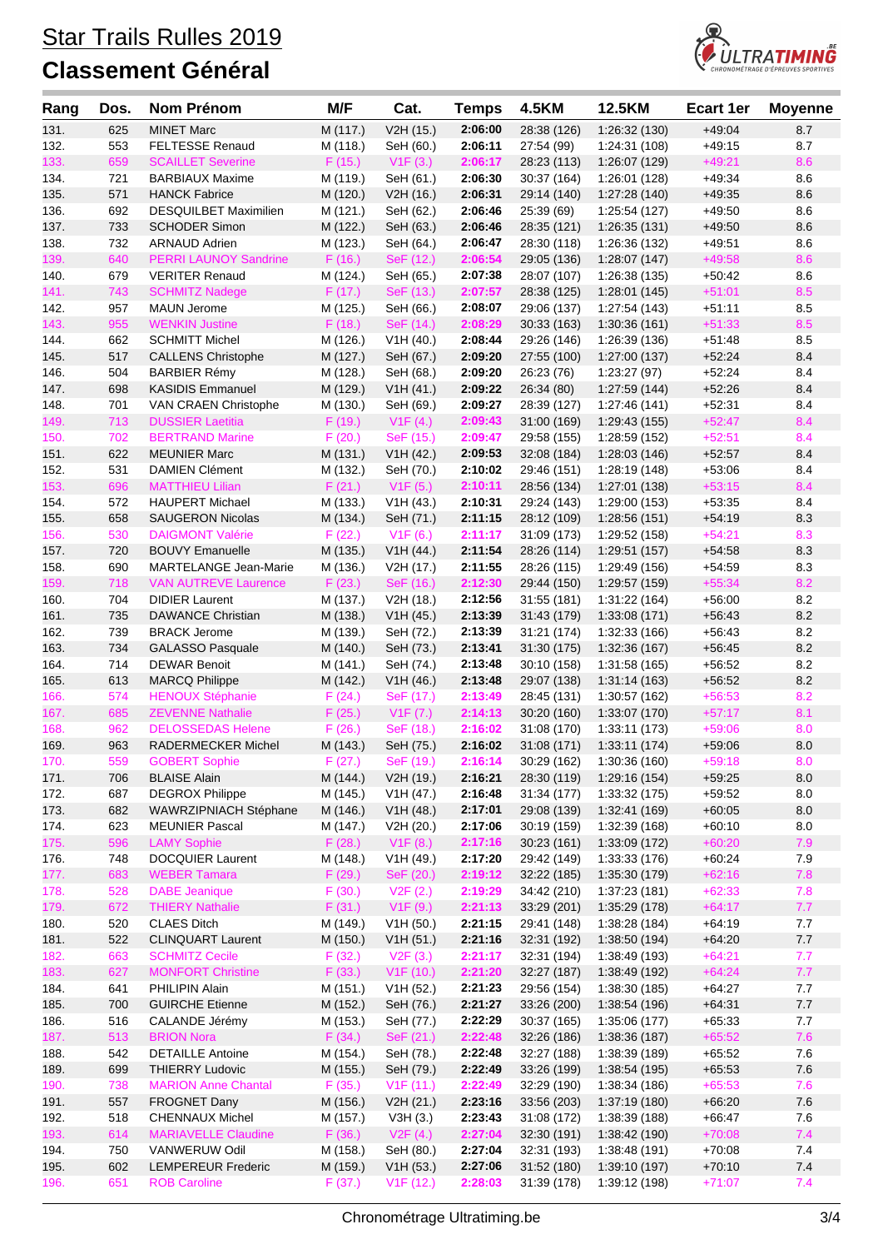

| Rang         | Dos.       | Nom Prénom                                         | M/F                | Cat.                   | <b>Temps</b>       | <b>4.5KM</b>              | 12.5KM                        | <b>Ecart 1er</b>     | <b>Moyenne</b> |
|--------------|------------|----------------------------------------------------|--------------------|------------------------|--------------------|---------------------------|-------------------------------|----------------------|----------------|
| 131.         | 625        | <b>MINET Marc</b>                                  | M (117.)           | V2H (15.)              | 2:06:00            | 28:38 (126)               | 1:26:32(130)                  | $+49:04$             | 8.7            |
| 132.         | 553        | <b>FELTESSE Renaud</b>                             | M (118.)           | SeH (60.)              | 2:06:11            | 27:54 (99)                | 1:24:31 (108)                 | $+49:15$             | 8.7            |
| 133.         | 659        | <b>SCAILLET Severine</b>                           | F(15.)             | V1F(3.)                | 2:06:17            | 28:23 (113)               | 1:26:07 (129)                 | $+49:21$             | 8.6            |
| 134.         | 721        | <b>BARBIAUX Maxime</b>                             | M (119.)           | SeH (61.)              | 2:06:30            | 30:37 (164)               | 1:26:01 (128)                 | $+49.34$             | 8.6            |
| 135.         | 571        | <b>HANCK Fabrice</b>                               | M (120.)           | V2H (16.)              | 2:06:31            | 29:14 (140)               | 1:27:28(140)                  | $+49:35$             | 8.6            |
| 136.         | 692        | <b>DESQUILBET Maximilien</b>                       | M (121.)           | SeH (62.)              | 2:06:46            | 25:39 (69)                | 1:25:54 (127)                 | $+49:50$             | 8.6            |
| 137.         | 733        | <b>SCHODER Simon</b>                               | M (122.)           | SeH (63.)              | 2:06:46            | 28:35 (121)               | 1:26:35(131)                  | $+49:50$             | 8.6            |
| 138.         | 732        | <b>ARNAUD Adrien</b>                               | M (123.)           | SeH (64.)              | 2:06:47            | 28:30 (118)               | 1:26:36 (132)                 | $+49:51$             | 8.6            |
| 139.         | 640        | <b>PERRI LAUNOY Sandrine</b>                       | F(16.)             | SeF (12.)              | 2:06:54            | 29:05 (136)               | 1:28:07(147)                  | $+49:58$             | 8.6            |
| 140.         | 679        | <b>VERITER Renaud</b>                              | M (124.)           | SeH (65.)              | 2:07:38            | 28:07 (107)               | 1:26:38 (135)                 | $+50:42$             | 8.6            |
| 141.         | 743        | <b>SCHMITZ Nadege</b>                              | F(17.)             | SeF (13.)              | 2:07:57            | 28:38 (125)               | 1:28:01 (145)                 | $+51:01$             | 8.5            |
| 142.         | 957        | <b>MAUN Jerome</b>                                 | M (125.)           | SeH (66.)              | 2:08:07            | 29:06 (137)               | 1:27:54 (143)                 | $+51:11$             | 8.5            |
| 143.         | 955        | <b>WENKIN Justine</b>                              | F(18.)             | SeF (14.)              | 2:08:29            | 30:33(163)                | 1:30:36(161)                  | $+51:33$             | 8.5            |
| 144.         | 662        | <b>SCHMITT Michel</b>                              | M (126.)           | V1H (40.)              | 2:08:44            | 29:26 (146)               | 1:26:39 (136)                 | $+51:48$             | 8.5            |
| 145.         | 517        | <b>CALLENS Christophe</b>                          | M (127.)           | SeH (67.)              | 2:09:20            | 27:55 (100)               | 1:27:00 (137)                 | $+52:24$             | 8.4            |
| 146.         | 504        | <b>BARBIER Rémy</b>                                | M (128.)           | SeH (68.)              | 2:09:20            | 26:23 (76)                | 1:23:27(97)                   | $+52:24$             | 8.4            |
| 147.         | 698        | <b>KASIDIS Emmanuel</b>                            | M (129.)           | V1H (41.)              | 2:09:22            | 26:34 (80)                | 1:27:59 (144)                 | $+52:26$             | 8.4            |
| 148.         | 701        | VAN CRAEN Christophe                               | M (130.)           | SeH (69.)              | 2:09:27            | 28:39 (127)               | 1:27:46 (141)                 | $+52:31$             | 8.4            |
| 149.         | 713        | <b>DUSSIER Laetitia</b>                            | F(19.)             | V1F(4.)                | 2:09:43            | 31:00(169)                | 1:29:43 (155)                 | $+52:47$             | 8.4            |
| 150.         | 702        | <b>BERTRAND Marine</b>                             | F(20.)             | SeF (15.)              | 2:09:47            | 29:58 (155)               | 1:28:59 (152)                 | $+52:51$             | 8.4            |
| 151.         | 622        | <b>MEUNIER Marc</b>                                | M (131.)           | V1H (42.)              | 2:09:53            | 32:08 (184)               | 1:28:03(146)                  | $+52:57$             | 8.4            |
| 152.         | 531        | <b>DAMIEN Clément</b>                              | M (132.)           | SeH (70.)              | 2:10:02            | 29:46 (151)               | 1:28:19 (148)                 | $+53:06$             | 8.4            |
| 153.         | 696        | <b>MATTHIEU Lilian</b>                             | F(21.)             | V1F(5.)                | 2:10:11            | 28:56 (134)               | 1:27:01 (138)                 | $+53:15$             | 8.4            |
| 154.         | 572        | <b>HAUPERT Michael</b>                             | M (133.)           | V1H (43.)              | 2:10:31            | 29:24 (143)               | 1:29:00 (153)                 | $+53:35$             | 8.4            |
| 155.         | 658        | <b>SAUGERON Nicolas</b>                            | M (134.)           | SeH (71.)              | 2:11:15            | 28:12 (109)               | 1:28:56 (151)                 | $+54:19$             | 8.3            |
| 156.         | 530        | <b>DAIGMONT Valérie</b>                            | F(22.)             | V1F(6.)                | 2:11:17            | 31:09 (173)               | 1:29:52 (158)                 | $+54:21$             | 8.3            |
| 157.         | 720        | <b>BOUVY Emanuelle</b>                             | M (135.)           | V1H (44.)              | 2:11:54            | 28:26 (114)               | 1:29:51 (157)                 | $+54:58$             | 8.3            |
| 158.         | 690        | MARTELANGE Jean-Marie                              | M (136.)           | V2H (17.)              | 2:11:55            | 28:26 (115)               | 1:29:49 (156)                 | $+54:59$             | 8.3            |
| 159.         | 718        | <b>VAN AUTREVE Laurence</b>                        | F(23.)             | SeF (16.)              | 2:12:30            | 29:44 (150)               | 1:29:57 (159)                 | $+55:34$             | 8.2            |
| 160.         | 704        | <b>DIDIER Laurent</b>                              | M (137.)           | V2H (18.)              | 2:12:56            | 31:55(181)                | 1:31:22 (164)                 | $+56:00$             | 8.2            |
| 161.         | 735        | <b>DAWANCE Christian</b>                           | M (138.)           | V1H (45.)              | 2:13:39            | 31:43 (179)               | 1:33:08 (171)                 | $+56:43$             | 8.2            |
| 162.         | 739        | <b>BRACK Jerome</b>                                | M (139.)           | SeH (72.)              | 2:13:39            | 31:21 (174)               | 1:32:33 (166)                 | $+56:43$             | 8.2            |
| 163.         | 734        | <b>GALASSO Pasquale</b>                            | M (140.)           | SeH (73.)              | 2:13:41            | 31:30(175)                | 1:32:36 (167)                 | $+56:45$             | 8.2            |
| 164.         | 714        | <b>DEWAR Benoit</b>                                | M (141.)           | SeH (74.)              | 2:13:48            | 30:10 (158)               | 1:31:58 (165)                 | $+56:52$             | 8.2            |
| 165.         | 613        | <b>MARCQ Philippe</b>                              | M (142.)           | V1H (46.)              | 2:13:48            | 29:07 (138)               | 1:31:14(163)                  | $+56:52$             | 8.2            |
| 166.<br>167. | 574<br>685 | <b>HENOUX Stéphanie</b><br><b>ZEVENNE Nathalie</b> | F(24.)             | SeF (17.)<br>V1F(7.)   | 2:13:49<br>2:14:13 | 28:45 (131)               | 1:30:57 (162)                 | $+56:53$<br>$+57:17$ | 8.2<br>8.1     |
|              | 962        | <b>DELOSSEDAS Helene</b>                           | F(25.)             |                        |                    | 30:20(160)                | 1:33:07 (170)<br>1:33:11(173) |                      | 8.0            |
| 168.<br>169. | 963        | RADERMECKER Michel                                 | F(26.)<br>M (143.) | SeF (18.)<br>SeH (75.) | 2:16:02<br>2:16:02 | 31:08 (170)<br>31:08(171) | 1:33:11 (174)                 | $+59:06$<br>$+59:06$ | 8.0            |
| 170.         | 559        | <b>GOBERT Sophie</b>                               | F(27.)             | SeF (19.)              | 2:16:14            | 30:29 (162)               | 1:30:36 (160)                 | $+59:18$             | 8.0            |
| 171.         | 706        | <b>BLAISE Alain</b>                                | M (144.)           | V2H (19.)              | 2:16:21            | 28:30 (119)               | 1:29:16 (154)                 | $+59:25$             | 8.0            |
| 172.         | 687        | <b>DEGROX Philippe</b>                             | M (145.)           | V1H (47.)              | 2:16:48            | 31:34 (177)               | 1:33:32 (175)                 | $+59:52$             | 8.0            |
| 173.         | 682        | WAWRZIPNIACH Stéphane                              | M (146.)           | V1H (48.)              | 2:17:01            | 29:08 (139)               | 1:32:41 (169)                 | $+60:05$             | $8.0\,$        |
| 174.         | 623        | <b>MEUNIER Pascal</b>                              | M (147.)           | V2H (20.)              | 2:17:06            | 30:19 (159)               | 1:32:39 (168)                 | $+60:10$             | $8.0\,$        |
| 175.         | 596        | <b>LAMY Sophie</b>                                 | F(28.)             | V1F(8.)                | 2:17:16            | 30:23(161)                | 1:33:09 (172)                 | $+60:20$             | 7.9            |
| 176.         | 748        | DOCQUIER Laurent                                   | M (148.)           | V1H (49.)              | 2:17:20            | 29:42 (149)               | 1:33:33 (176)                 | $+60:24$             | 7.9            |
| 177.         | 683        | <b>WEBER Tamara</b>                                | F(29.)             | SeF (20.)              | 2:19:12            | 32:22 (185)               | 1:35:30 (179)                 | $+62:16$             | 7.8            |
| 178.         | 528        | <b>DABE</b> Jeanique                               | F(30.)             | V2F(2.)                | 2:19:29            | 34:42 (210)               | 1:37:23 (181)                 | $+62:33$             | 7.8            |
| 179.         | 672        | <b>THIERY Nathalie</b>                             | F(31.)             | V1F(9.)                | 2:21:13            | 33:29 (201)               | 1:35:29 (178)                 | $+64:17$             | 7.7            |
| 180.         | 520        | <b>CLAES Ditch</b>                                 | M (149.)           | V1H (50.)              | 2:21:15            | 29:41 (148)               | 1:38:28 (184)                 | $+64:19$             | 7.7            |
| 181.         | 522        | <b>CLINQUART Laurent</b>                           | M (150.)           | V1H (51.)              | 2:21:16            | 32:31 (192)               | 1:38:50 (194)                 | $+64:20$             | 7.7            |
| 182.         | 663        | <b>SCHMITZ Cecile</b>                              | F(32.)             | V2F(3.)                | 2:21:17            | 32:31 (194)               | 1:38:49 (193)                 | $+64:21$             | 7.7            |
| 183.         | 627        | <b>MONFORT Christine</b>                           | F(33.)             | V1F(10.)               | 2:21:20            | 32:27 (187)               | 1:38:49 (192)                 | $+64:24$             | $7.7$          |
| 184.         | 641        | PHILIPIN Alain                                     | M (151.)           | V1H (52.)              | 2:21:23            | 29:56 (154)               | 1:38:30 (185)                 | $+64:27$             | 7.7            |
| 185.         | 700        | <b>GUIRCHE Etienne</b>                             | M (152.)           | SeH (76.)              | 2:21:27            | 33:26 (200)               | 1:38:54 (196)                 | $+64:31$             | $7.7$          |
| 186.         | 516        | CALANDE Jérémy                                     | M (153.)           | SeH (77.)              | 2:22:29            | 30:37(165)                | 1:35:06 (177)                 | $+65:33$             | 7.7            |
| 187.         | 513        | <b>BRION Nora</b>                                  | F(34.)             | SeF (21.)              | 2:22:48            | 32:26 (186)               | 1:38:36(187)                  | $+65:52$             | 7.6            |
| 188.         | 542        | <b>DETAILLE Antoine</b>                            | M (154.)           | SeH (78.)              | 2:22:48            | 32:27 (188)               | 1:38:39 (189)                 | $+65:52$             | 7.6            |
| 189.         | 699        | <b>THIERRY Ludovic</b>                             | M (155.)           | SeH (79.)              | 2:22:49            | 33:26 (199)               | 1:38:54 (195)                 | $+65:53$             | 7.6            |
| 190.         | 738        | <b>MARION Anne Chantal</b>                         | F(35.)             | V1F(11.)               | 2:22:49            | 32:29 (190)               | 1:38:34 (186)                 | $+65:53$             | 7.6            |
| 191.         | 557        | FROGNET Dany                                       | M (156.)           | V2H (21.)              | 2:23:16            | 33:56 (203)               | 1:37:19 (180)                 | $+66:20$             | 7.6            |
| 192.         | 518        | <b>CHENNAUX Michel</b>                             | M (157.)           | V3H(3.)                | 2:23:43            | 31:08 (172)               | 1:38:39 (188)                 | $+66:47$             | 7.6            |
| 193.         | 614        | <b>MARIAVELLE Claudine</b>                         | F(36.)             | V2F(4.)                | 2:27:04            | 32:30 (191)               | 1:38:42(190)                  | $+70:08$             | 7.4            |
| 194.         | 750        | VANWERUW Odil                                      | M (158.)           | SeH (80.)              | 2:27:04            | 32:31 (193)               | 1:38:48 (191)                 | $+70:08$             | 7.4            |
| 195.         | 602        | <b>LEMPEREUR Frederic</b>                          | M (159.)           | V1H (53.)              | 2:27:06            | 31:52 (180)               | 1:39:10 (197)                 | $+70:10$             | 7.4            |
| 196.         | 651        | <b>ROB Caroline</b>                                | F(37.)             | V1F(12.)               | 2:28:03            | 31:39 (178)               | 1:39:12 (198)                 | $+71:07$             | 7.4            |